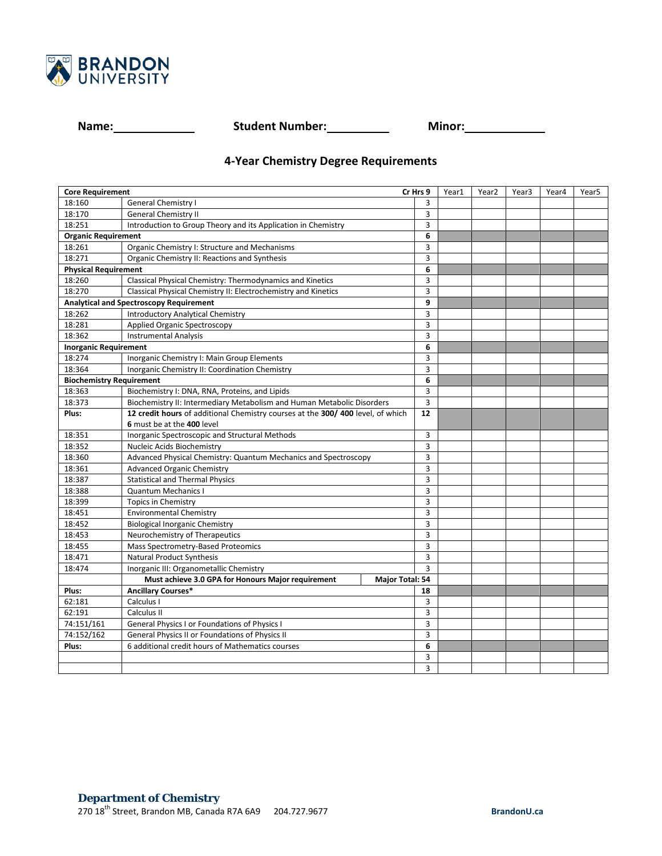

**Name: Name: Student Number: Minor: Minor: Minor:** 

## **4-Year Chemistry Degree Requirements**

| <b>Core Requirement</b>                        |                                                                                | Cr Hrs 9       | Year1 | Year <sub>2</sub> | Year3 | Year4 | Year <sub>5</sub> |
|------------------------------------------------|--------------------------------------------------------------------------------|----------------|-------|-------------------|-------|-------|-------------------|
| 18:160                                         | General Chemistry I                                                            | 3              |       |                   |       |       |                   |
| 18:170                                         | <b>General Chemistry II</b>                                                    | 3              |       |                   |       |       |                   |
| 18:251                                         | Introduction to Group Theory and its Application in Chemistry                  | 3              |       |                   |       |       |                   |
| <b>Organic Requirement</b>                     |                                                                                | 6              |       |                   |       |       |                   |
| 18:261                                         | Organic Chemistry I: Structure and Mechanisms                                  | 3              |       |                   |       |       |                   |
| 18:271                                         | Organic Chemistry II: Reactions and Synthesis                                  | 3              |       |                   |       |       |                   |
| <b>Physical Requirement</b>                    |                                                                                | 6              |       |                   |       |       |                   |
| 18:260                                         | Classical Physical Chemistry: Thermodynamics and Kinetics                      | 3              |       |                   |       |       |                   |
| 18:270                                         | Classical Physical Chemistry II: Electrochemistry and Kinetics                 | 3              |       |                   |       |       |                   |
| <b>Analytical and Spectroscopy Requirement</b> |                                                                                | 9              |       |                   |       |       |                   |
| 18:262                                         | <b>Introductory Analytical Chemistry</b>                                       | 3              |       |                   |       |       |                   |
| 18:281                                         | <b>Applied Organic Spectroscopy</b>                                            | 3              |       |                   |       |       |                   |
| 18:362                                         | <b>Instrumental Analysis</b>                                                   | 3              |       |                   |       |       |                   |
| <b>Inorganic Requirement</b>                   |                                                                                | 6              |       |                   |       |       |                   |
| 18:274                                         | Inorganic Chemistry I: Main Group Elements                                     | 3              |       |                   |       |       |                   |
| 18:364                                         | Inorganic Chemistry II: Coordination Chemistry                                 | 3              |       |                   |       |       |                   |
| <b>Biochemistry Requirement</b>                |                                                                                | 6              |       |                   |       |       |                   |
| 18:363                                         | Biochemistry I: DNA, RNA, Proteins, and Lipids                                 | 3              |       |                   |       |       |                   |
| 18:373                                         | Biochemistry II: Intermediary Metabolism and Human Metabolic Disorders         | 3              |       |                   |       |       |                   |
| Plus:                                          | 12 credit hours of additional Chemistry courses at the 300/400 level, of which | 12             |       |                   |       |       |                   |
|                                                | 6 must be at the 400 level                                                     |                |       |                   |       |       |                   |
| 18:351                                         | Inorganic Spectroscopic and Structural Methods                                 | 3              |       |                   |       |       |                   |
| 18:352                                         | Nucleic Acids Biochemistry                                                     | 3              |       |                   |       |       |                   |
| 18:360                                         | Advanced Physical Chemistry: Quantum Mechanics and Spectroscopy                | 3              |       |                   |       |       |                   |
| 18:361                                         | <b>Advanced Organic Chemistry</b>                                              | 3              |       |                   |       |       |                   |
| 18:387                                         | <b>Statistical and Thermal Physics</b>                                         | 3              |       |                   |       |       |                   |
| 18:388                                         | <b>Quantum Mechanics I</b>                                                     | 3              |       |                   |       |       |                   |
| 18:399                                         | <b>Topics in Chemistry</b>                                                     | 3              |       |                   |       |       |                   |
| 18:451                                         | <b>Environmental Chemistry</b>                                                 | 3              |       |                   |       |       |                   |
| 18:452                                         | <b>Biological Inorganic Chemistry</b>                                          | 3              |       |                   |       |       |                   |
| 18:453                                         | Neurochemistry of Therapeutics                                                 | 3              |       |                   |       |       |                   |
| 18:455                                         | Mass Spectrometry-Based Proteomics                                             | 3              |       |                   |       |       |                   |
| 18:471                                         | <b>Natural Product Synthesis</b>                                               | $\overline{3}$ |       |                   |       |       |                   |
| 18:474                                         | Inorganic III: Organometallic Chemistry                                        | $\overline{3}$ |       |                   |       |       |                   |
|                                                | Must achieve 3.0 GPA for Honours Major requirement<br>Major Total: 54          |                |       |                   |       |       |                   |
| Plus:                                          | <b>Ancillary Courses*</b>                                                      | 18             |       |                   |       |       |                   |
| 62:181                                         | Calculus I                                                                     | 3              |       |                   |       |       |                   |
| 62:191                                         | Calculus II                                                                    | 3              |       |                   |       |       |                   |
| 74:151/161                                     | General Physics I or Foundations of Physics I                                  | 3              |       |                   |       |       |                   |
| 74:152/162                                     | General Physics II or Foundations of Physics II                                | 3              |       |                   |       |       |                   |
| Plus:                                          | 6 additional credit hours of Mathematics courses                               | 6              |       |                   |       |       |                   |
|                                                |                                                                                | 3              |       |                   |       |       |                   |
|                                                |                                                                                | 3              |       |                   |       |       |                   |